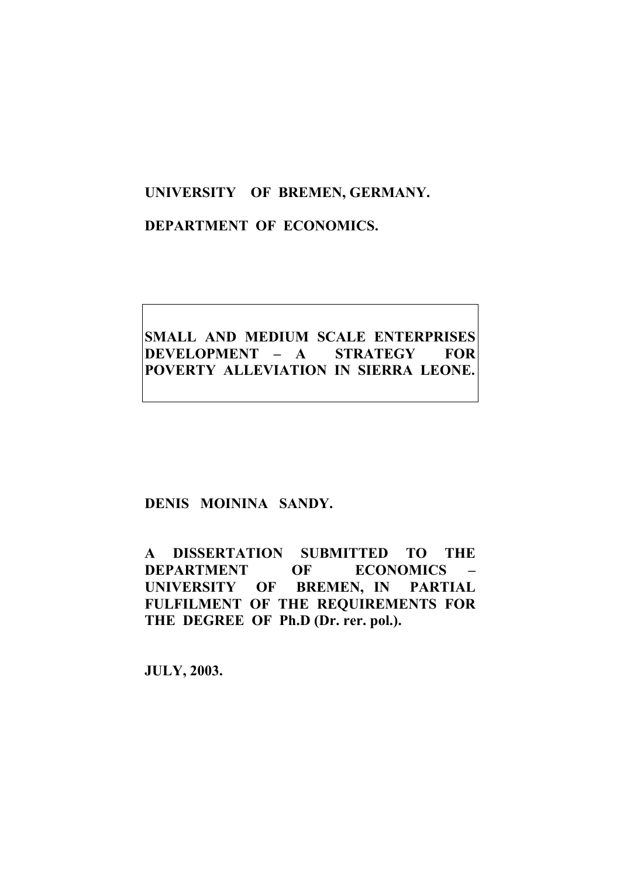### **UNIVERSITY OF BREMEN, GERMANY.**

#### **DEPARTMENT OF ECONOMICS.**

## **SMALL AND MEDIUM SCALE ENTERPRISES DEVELOPMENT – A STRATEGY FOR POVERTY ALLEVIATION IN SIERRA LEONE.**

#### **DENIS MOININA SANDY.**

**A DISSERTATION SUBMITTED TO THE DEPARTMENT OF ECONOMICS – UNIVERSITY OF BREMEN, IN PARTIAL FULFILMENT OF THE REQUIREMENTS FOR THE DEGREE OF Ph.D (Dr. rer. pol.).** 

**JULY, 2003.**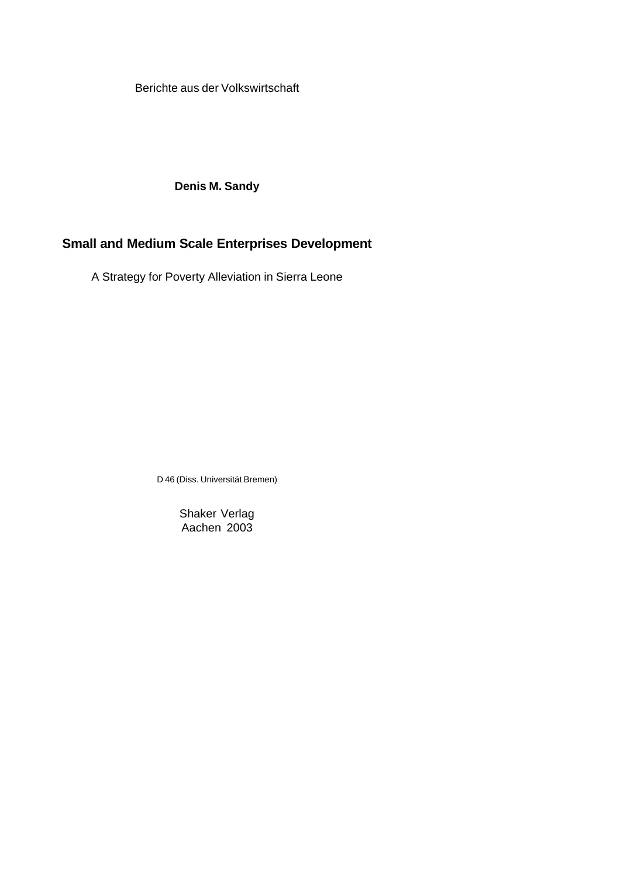Berichte aus der Volkswirtschaft

**Denis M. Sandy**

#### **Small and Medium Scale Enterprises Development**

A Strategy for Poverty Alleviation in Sierra Leone

D 46 (Diss. Universität Bremen)

Shaker Verlag Aachen 2003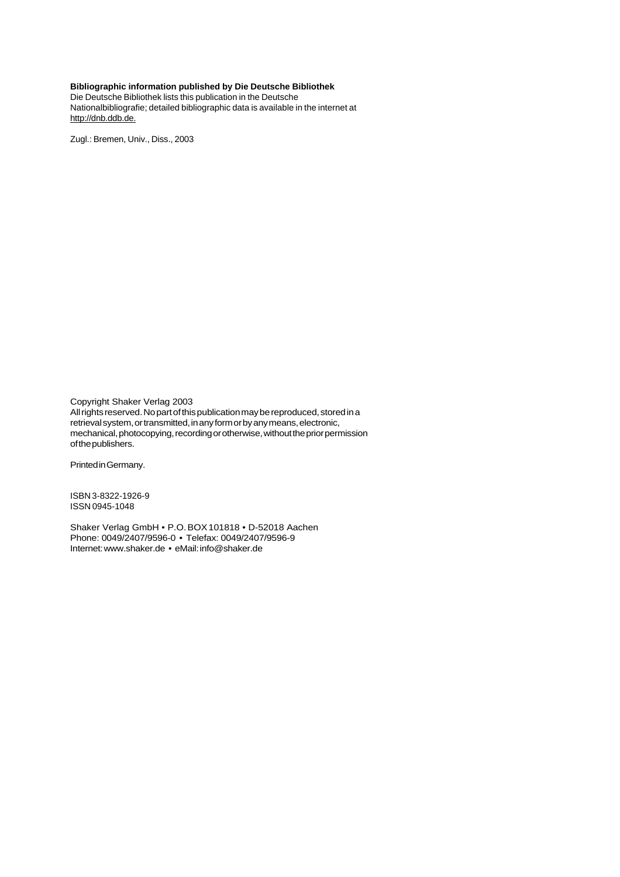#### **Bibliographic information published by Die Deutsche Bibliothek**

Die Deutsche Bibliothek lists this publication in the Deutsche Nationalbibliografie; detailed bibliographic data is available in the internet at http://dnb.ddb.de.

Zugl.: Bremen, Univ., Diss., 2003

Copyright Shaker Verlag 2003 All rights reserved. No part of this publication may be reproduced, stored in a retrieval system, or transmitted, in any form or by any means, electronic, mechanical, photocopying, recording or otherwise, without the prior permission of the publishers.

Printed in Germany.

ISBN 3-8322-1926-9 ISSN 0945-1048

Shaker Verlag GmbH • P.O. BOX 101818 • D-52018 Aachen Phone: 0049/2407/9596-0 • Telefax: 0049/2407/9596-9 Internet: www.shaker.de • eMail: info@shaker.de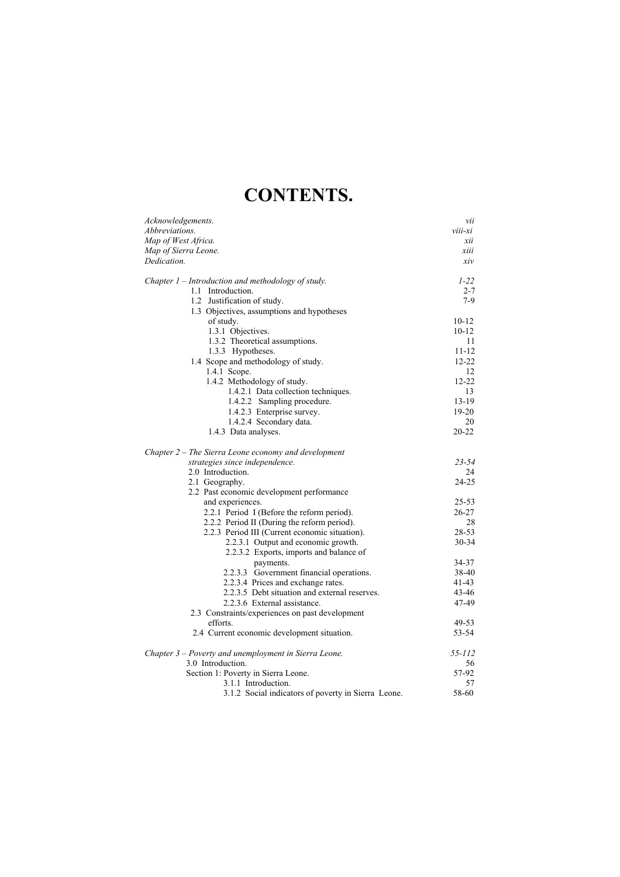# **CONTENTS.**

| Acknowledgements.                                      | vii<br>viii-xi |
|--------------------------------------------------------|----------------|
| <i>Abbreviations.</i>                                  |                |
| Map of West Africa.                                    | xii            |
| Map of Sierra Leone.                                   | xiii           |
| Dedication.                                            | xiv            |
| Chapter $1$ – Introduction and methodology of study.   | $1 - 22$       |
| 1.1 Introduction.                                      | $2 - 7$        |
| 1.2 Justification of study.                            | $7-9$          |
| 1.3 Objectives, assumptions and hypotheses             |                |
| of study.                                              | $10 - 12$      |
| 1.3.1 Objectives.                                      | $10 - 12$      |
| 1.3.2 Theoretical assumptions.                         | 11             |
| 1.3.3 Hypotheses.                                      | $11 - 12$      |
| 1.4 Scope and methodology of study.                    | $12 - 22$      |
| 1.4.1 Scope.                                           | 12             |
| 1.4.2 Methodology of study.                            | $12 - 22$      |
| 1.4.2.1 Data collection techniques.                    | 13             |
| 1.4.2.2 Sampling procedure.                            | $13-19$        |
| 1.4.2.3 Enterprise survey.                             | $19-20$        |
| 1.4.2.4 Secondary data.                                | 20             |
| 1.4.3 Data analyses.                                   | $20 - 22$      |
| Chapter $2$ – The Sierra Leone economy and development |                |
| strategies since independence.                         | $23 - 54$      |
| 2.0 Introduction.                                      | 24             |
| 2.1 Geography.                                         | $24 - 25$      |
| 2.2 Past economic development performance              |                |
| and experiences.                                       | $25 - 53$      |
| 2.2.1 Period I (Before the reform period).             | $26 - 27$      |
| 2.2.2 Period II (During the reform period).            | 28             |
| 2.2.3 Period III (Current economic situation).         | 28-53          |
| 2.2.3.1 Output and economic growth.                    | $30 - 34$      |
| 2.2.3.2 Exports, imports and balance of                |                |
| payments.                                              | 34-37          |
| 2.2.3.3 Government financial operations.               | 38-40          |
| 2.2.3.4 Prices and exchange rates.                     | 41-43          |
| 2.2.3.5 Debt situation and external reserves.          | $43 - 46$      |
| 2.2.3.6 External assistance.                           | 47-49          |
| 2.3 Constraints/experiences on past development        |                |
| efforts.                                               | 49-53          |
| 2.4 Current economic development situation.            | 53-54          |
| Chapter 3 – Poverty and unemployment in Sierra Leone.  | $55 - 112$     |
| 3.0 Introduction.                                      | 56             |
| Section 1: Poverty in Sierra Leone.                    | 57-92          |
| 3.1.1 Introduction.                                    | 57             |
| 3.1.2 Social indicators of poverty in Sierra Leone.    | 58-60          |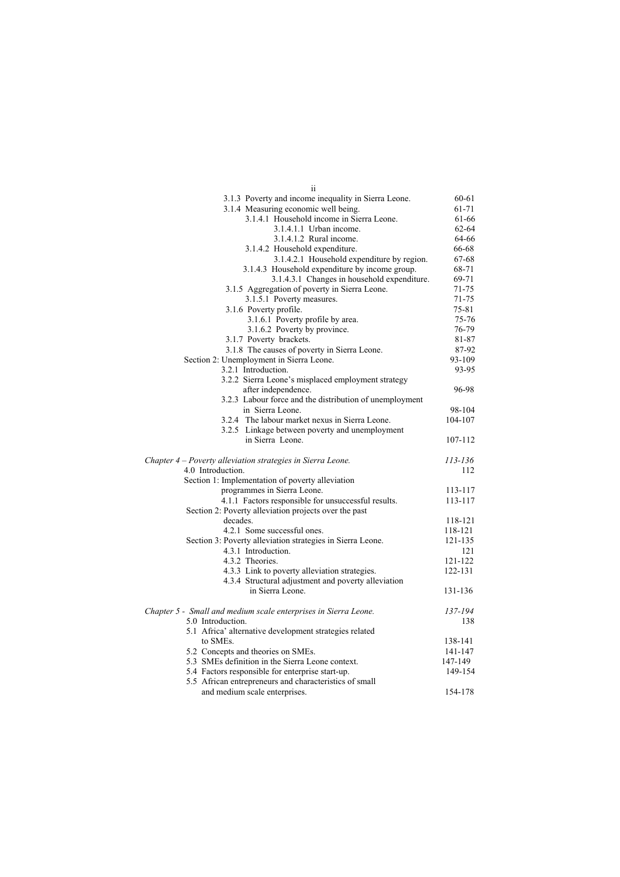| 11                                                              |           |
|-----------------------------------------------------------------|-----------|
| 3.1.3 Poverty and income inequality in Sierra Leone.            | 60-61     |
| 3.1.4 Measuring economic well being.                            | 61-71     |
| 3.1.4.1 Household income in Sierra Leone.                       | 61-66     |
| 3.1.4.1.1 Urban income.                                         | 62-64     |
| 3.1.4.1.2 Rural income.                                         | 64-66     |
| 3.1.4.2 Household expenditure.                                  | 66-68     |
| 3.1.4.2.1 Household expenditure by region.                      | 67-68     |
| 3.1.4.3 Household expenditure by income group.                  | 68-71     |
| 3.1.4.3.1 Changes in household expenditure.                     | 69-71     |
| 3.1.5 Aggregation of poverty in Sierra Leone.                   | 71-75     |
| 3.1.5.1 Poverty measures.                                       | $71 - 75$ |
| 3.1.6 Poverty profile.                                          | $75 - 81$ |
| 3.1.6.1 Poverty profile by area.                                | 75-76     |
| 3.1.6.2 Poverty by province.                                    | 76-79     |
| 3.1.7 Poverty brackets.                                         | 81-87     |
| 3.1.8 The causes of poverty in Sierra Leone.                    | 87-92     |
| Section 2: Unemployment in Sierra Leone.                        | 93-109    |
| 3.2.1 Introduction.                                             | 93-95     |
| 3.2.2 Sierra Leone's misplaced employment strategy              |           |
| after independence.                                             | 96-98     |
| 3.2.3 Labour force and the distribution of unemployment         |           |
| in Sierra Leone.                                                | 98-104    |
| 3.2.4 The labour market nexus in Sierra Leone.                  | 104-107   |
| 3.2.5 Linkage between poverty and unemployment                  |           |
| in Sierra Leone.                                                | 107-112   |
| Chapter 4 - Poverty alleviation strategies in Sierra Leone.     | 113-136   |
| 4.0 Introduction.                                               | 112       |
| Section 1: Implementation of poverty alleviation                |           |
| programmes in Sierra Leone.                                     | 113-117   |
| 4.1.1 Factors responsible for unsuccessful results.             | 113-117   |
| Section 2: Poverty alleviation projects over the past           |           |
| decades.                                                        | 118-121   |
| 4.2.1 Some successful ones.                                     | 118-121   |
| Section 3: Poverty alleviation strategies in Sierra Leone.      | 121-135   |
| 4.3.1 Introduction.                                             | 121       |
| 4.3.2 Theories.                                                 | 121-122   |
| 4.3.3 Link to poverty alleviation strategies.                   | 122-131   |
| 4.3.4 Structural adjustment and poverty alleviation             |           |
| in Sierra Leone.                                                | 131-136   |
| Chapter 5 - Small and medium scale enterprises in Sierra Leone. | 137-194   |
| 5.0 Introduction.                                               | 138       |
| 5.1 Africa' alternative development strategies related          |           |
| to SME <sub>s</sub> .                                           | 138-141   |
| 5.2 Concepts and theories on SMEs.                              | 141-147   |
| 5.3 SMEs definition in the Sierra Leone context.                | 147-149   |
| 5.4 Factors responsible for enterprise start-up.                | 149-154   |
| 5.5 African entrepreneurs and characteristics of small          |           |
| and medium scale enterprises.                                   | 154-178   |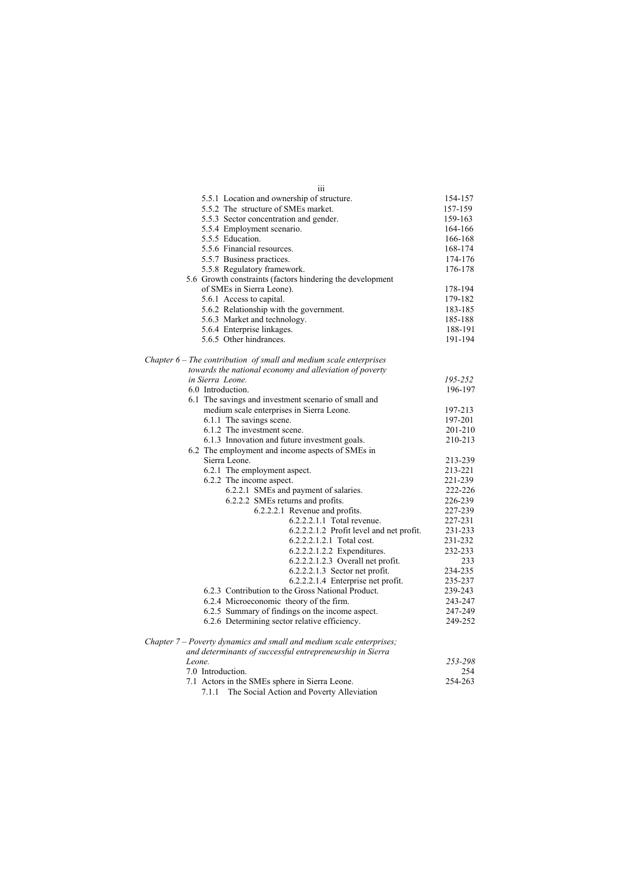| 111                                                                  |         |
|----------------------------------------------------------------------|---------|
| 5.5.1 Location and ownership of structure.                           | 154-157 |
| 5.5.2 The structure of SMEs market.                                  | 157-159 |
| 5.5.3 Sector concentration and gender.                               | 159-163 |
| 5.5.4 Employment scenario.                                           | 164-166 |
| 5.5.5 Education.                                                     | 166-168 |
| 5.5.6 Financial resources.                                           | 168-174 |
| 5.5.7 Business practices.                                            | 174-176 |
| 5.5.8 Regulatory framework.                                          | 176-178 |
| 5.6 Growth constraints (factors hindering the development            |         |
| of SMEs in Sierra Leone).                                            | 178-194 |
| 5.6.1 Access to capital.                                             | 179-182 |
| 5.6.2 Relationship with the government.                              | 183-185 |
| 5.6.3 Market and technology.                                         | 185-188 |
| 5.6.4 Enterprise linkages.                                           | 188-191 |
| 5.6.5 Other hindrances.                                              | 191-194 |
| Chapter $6$ – The contribution of small and medium scale enterprises |         |
| towards the national economy and alleviation of poverty              |         |
| in Sierra Leone.                                                     | 195-252 |
| 6.0 Introduction.                                                    | 196-197 |
| 6.1 The savings and investment scenario of small and                 |         |
| medium scale enterprises in Sierra Leone.                            | 197-213 |
| 6.1.1 The savings scene.                                             | 197-201 |
| 6.1.2 The investment scene.                                          | 201-210 |
| 6.1.3 Innovation and future investment goals.                        | 210-213 |
| 6.2 The employment and income aspects of SMEs in                     |         |
| Sierra Leone.                                                        | 213-239 |
| 6.2.1 The employment aspect.                                         | 213-221 |
| 6.2.2 The income aspect.                                             | 221-239 |
| 6.2.2.1 SMEs and payment of salaries.                                | 222-226 |
| 6.2.2.2 SMEs returns and profits.                                    | 226-239 |
| 6.2.2.2.1 Revenue and profits.                                       | 227-239 |
| 6.2.2.2.1.1 Total revenue.                                           | 227-231 |
| 6.2.2.2.1.2 Profit level and net profit.                             | 231-233 |
| 6.2.2.2.1.2.1 Total cost.                                            | 231-232 |
| 6.2.2.2.1.2.2 Expenditures.                                          | 232-233 |
| 6.2.2.2.1.2.3 Overall net profit.                                    | 233     |
| 6.2.2.2.1.3 Sector net profit.                                       | 234-235 |
| 6.2.2.2.1.4 Enterprise net profit.                                   | 235-237 |
| 6.2.3 Contribution to the Gross National Product.                    | 239-243 |
| 6.2.4 Microeconomic theory of the firm.                              | 243-247 |
| 6.2.5 Summary of findings on the income aspect.                      | 247-249 |
| 6.2.6 Determining sector relative efficiency.                        | 249-252 |
| Chapter 7 – Poverty dynamics and small and medium scale enterprises; |         |
| and determinants of successful entrepreneurship in Sierra            |         |
| Leone.                                                               | 253-298 |
| 7.0 Introduction.                                                    | 254     |
| 7.1 Actors in the SMEs sphere in Sierra Leone.                       | 254-263 |
| 7.1.1 The Social Action and Poverty Alleviation                      |         |
|                                                                      |         |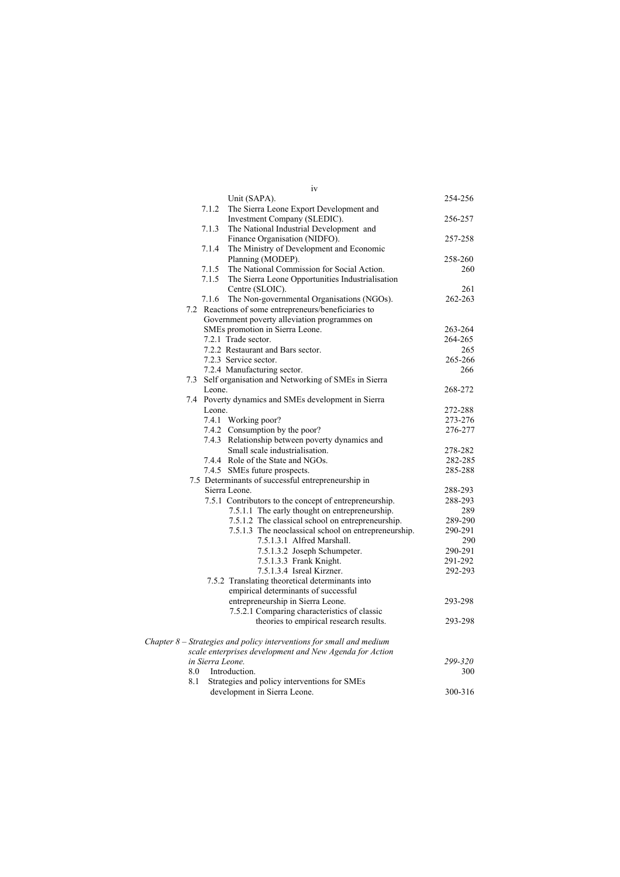| iv                                                                     |         |
|------------------------------------------------------------------------|---------|
| Unit (SAPA).                                                           | 254-256 |
| 7.1.2<br>The Sierra Leone Export Development and                       |         |
| Investment Company (SLEDIC).                                           | 256-257 |
| The National Industrial Development and<br>7.1.3                       |         |
| Finance Organisation (NIDFO).                                          | 257-258 |
| 7.1.4<br>The Ministry of Development and Economic                      |         |
| Planning (MODEP).                                                      | 258-260 |
| The National Commission for Social Action.<br>7.1.5                    | 260     |
| The Sierra Leone Opportunities Industrialisation<br>7.1.5              |         |
| Centre (SLOIC).                                                        | 261     |
| 7.1.6 The Non-governmental Organisations (NGOs).                       | 262-263 |
| 7.2 Reactions of some entrepreneurs/beneficiaries to                   |         |
| Government poverty alleviation programmes on                           |         |
| SMEs promotion in Sierra Leone.                                        | 263-264 |
| 7.2.1 Trade sector.                                                    | 264-265 |
| 7.2.2 Restaurant and Bars sector.                                      | 265     |
| 7.2.3 Service sector.                                                  | 265-266 |
| 7.2.4 Manufacturing sector.                                            | 266     |
| 7.3 Self organisation and Networking of SMEs in Sierra                 |         |
| Leone.                                                                 | 268-272 |
| 7.4 Poverty dynamics and SMEs development in Sierra                    |         |
| Leone.                                                                 | 272-288 |
| 7.4.1 Working poor?                                                    | 273-276 |
| 7.4.2 Consumption by the poor?                                         | 276-277 |
| 7.4.3 Relationship between poverty dynamics and                        |         |
| Small scale industrialisation.                                         | 278-282 |
| 7.4.4 Role of the State and NGOs.                                      | 282-285 |
| 7.4.5 SMEs future prospects.                                           | 285-288 |
| 7.5 Determinants of successful entrepreneurship in                     |         |
| Sierra Leone.                                                          | 288-293 |
| 7.5.1 Contributors to the concept of entrepreneurship.                 | 288-293 |
| 7.5.1.1 The early thought on entrepreneurship.                         | 289     |
| 7.5.1.2 The classical school on entrepreneurship.                      | 289-290 |
| 7.5.1.3 The neoclassical school on entrepreneurship.                   | 290-291 |
| 7.5.1.3.1 Alfred Marshall.                                             | 290     |
| 7.5.1.3.2 Joseph Schumpeter.                                           | 290-291 |
| 7.5.1.3.3 Frank Knight.                                                | 291-292 |
| 7.5.1.3.4 Isreal Kirzner.                                              | 292-293 |
| 7.5.2 Translating theoretical determinants into                        |         |
| empirical determinants of successful                                   |         |
| entrepreneurship in Sierra Leone.                                      | 293-298 |
| 7.5.2.1 Comparing characteristics of classic                           |         |
| theories to empirical research results.                                | 293-298 |
|                                                                        |         |
| Chapter $8$ – Strategies and policy interventions for small and medium |         |
| scale enterprises development and New Agenda for Action                |         |
| in Sierra Leone.                                                       | 299-320 |
| Introduction.<br>8.0                                                   | 300     |
| 8.1<br>Strategies and policy interventions for SMEs                    |         |
| development in Sierra Leone.                                           | 300-316 |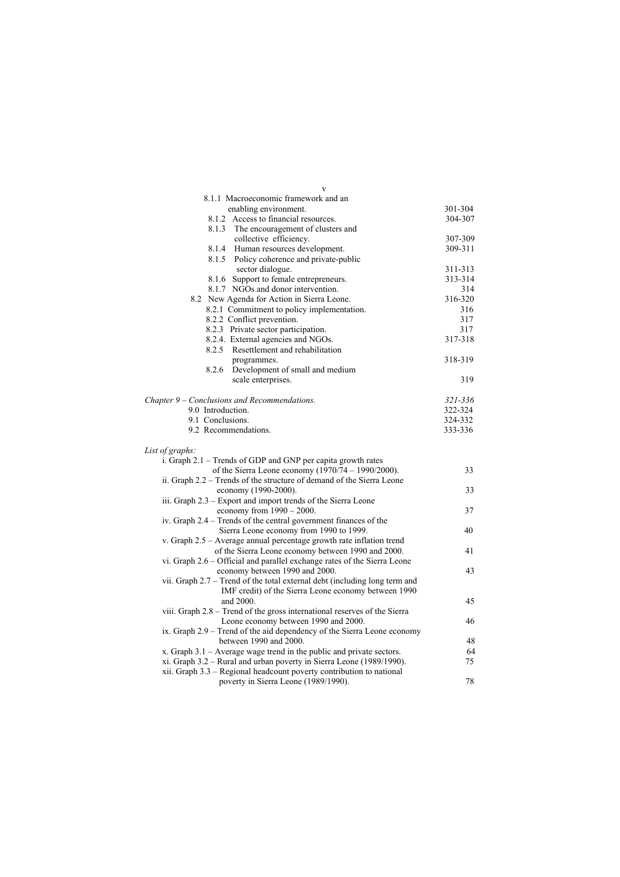| V                                                                          |             |
|----------------------------------------------------------------------------|-------------|
| 8.1.1 Macroeconomic framework and an                                       |             |
| enabling environment.                                                      | 301-304     |
| 8.1.2 Access to financial resources.                                       | 304-307     |
| 8.1.3 The encouragement of clusters and                                    |             |
| collective efficiency.                                                     | 307-309     |
| Human resources development.<br>8.1.4                                      | 309-311     |
| 8.1.5 Policy coherence and private-public                                  |             |
| sector dialogue.                                                           | 311-313     |
| 8.1.6 Support to female entrepreneurs.                                     | 313-314     |
| 8.1.7 NGOs and donor intervention.                                         | 314         |
| 8.2 New Agenda for Action in Sierra Leone.                                 | 316-320     |
| 8.2.1 Commitment to policy implementation.                                 | 316         |
| 8.2.2 Conflict prevention.                                                 | 317         |
| 8.2.3 Private sector participation.                                        | 317         |
| 8.2.4. External agencies and NGOs.                                         | 317-318     |
| 8.2.5 Resettlement and rehabilitation                                      |             |
| programmes.                                                                | 318-319     |
| Development of small and medium<br>8.2.6                                   |             |
| scale enterprises.                                                         | 319         |
|                                                                            |             |
| Chapter 9 – Conclusions and Recommendations.                               | $321 - 336$ |
| 9.0 Introduction.                                                          | 322-324     |
| 9.1 Conclusions.                                                           | 324-332     |
| 9.2 Recommendations.                                                       | 333-336     |
|                                                                            |             |
| List of graphs:                                                            |             |
| i. Graph 2.1 – Trends of GDP and GNP per capita growth rates               |             |
| of the Sierra Leone economy $(1970/74 - 1990/2000)$ .                      | 33          |
| ii. Graph 2.2 - Trends of the structure of demand of the Sierra Leone      |             |
| economy (1990-2000).                                                       | 33          |
| iii. Graph 2.3 – Export and import trends of the Sierra Leone              |             |
| economy from $1990 - 2000$ .                                               | 37          |
| iv. Graph 2.4 – Trends of the central government finances of the           |             |
| Sierra Leone economy from 1990 to 1999.                                    | 40          |
| v. Graph 2.5 - Average annual percentage growth rate inflation trend       |             |
| of the Sierra Leone economy between 1990 and 2000.                         | 41          |
| vi. Graph 2.6 – Official and parallel exchange rates of the Sierra Leone   |             |
| economy between 1990 and 2000.                                             | 43          |
| vii. Graph 2.7 - Trend of the total external debt (including long term and |             |
| IMF credit) of the Sierra Leone economy between 1990                       |             |
| and 2000.                                                                  | 45          |
| viii. Graph 2.8 - Trend of the gross international reserves of the Sierra  |             |
| Leone economy between 1990 and 2000.                                       | 46          |
| ix. Graph 2.9 – Trend of the aid dependency of the Sierra Leone economy    |             |
| between 1990 and 2000.                                                     | 48          |
| x. Graph $3.1$ – Average wage trend in the public and private sectors.     | 64          |
| xi. Graph 3.2 – Rural and urban poverty in Sierra Leone (1989/1990).       | 75          |
| xii. Graph 3.3 - Regional headcount poverty contribution to national       |             |
| poverty in Sierra Leone (1989/1990).                                       | 78          |